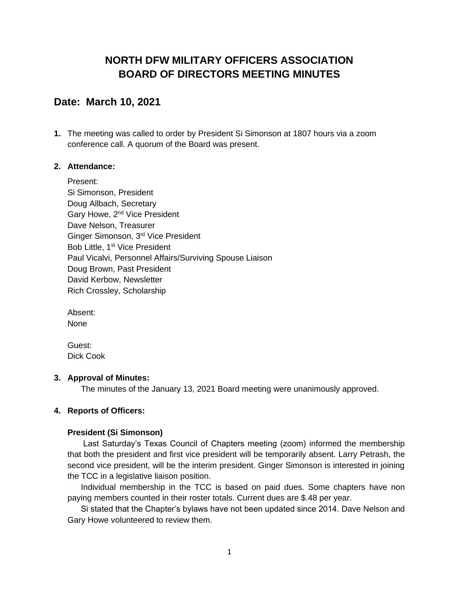# **NORTH DFW MILITARY OFFICERS ASSOCIATION BOARD OF DIRECTORS MEETING MINUTES**

# **Date: March 10, 2021**

**1.** The meeting was called to order by President Si Simonson at 1807 hours via a zoom conference call. A quorum of the Board was present.

### **2. Attendance:**

Present: Si Simonson, President Doug Allbach, Secretary Gary Howe, 2<sup>nd</sup> Vice President Dave Nelson, Treasurer Ginger Simonson, 3rd Vice President Bob Little, 1<sup>st</sup> Vice President Paul Vicalvi, Personnel Affairs/Surviving Spouse Liaison Doug Brown, Past President David Kerbow, Newsletter Rich Crossley, Scholarship

Absent: None

Guest: Dick Cook

#### **3. Approval of Minutes:**

The minutes of the January 13, 2021 Board meeting were unanimously approved.

### **4. Reports of Officers:**

#### **President (Si Simonson)**

Last Saturday's Texas Council of Chapters meeting (zoom) informed the membership that both the president and first vice president will be temporarily absent. Larry Petrash, the second vice president, will be the interim president. Ginger Simonson is interested in joining the TCC in a legislative liaison position.

Individual membership in the TCC is based on paid dues. Some chapters have non paying members counted in their roster totals. Current dues are \$.48 per year.

Si stated that the Chapter's bylaws have not been updated since 2014. Dave Nelson and Gary Howe volunteered to review them.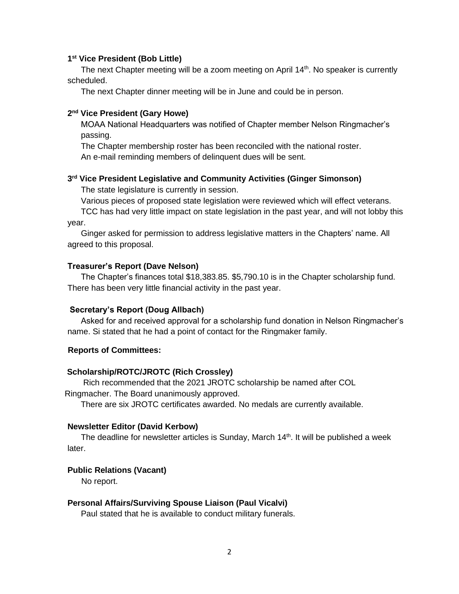#### **1 st Vice President (Bob Little)**

The next Chapter meeting will be a zoom meeting on April  $14<sup>th</sup>$ . No speaker is currently scheduled.

The next Chapter dinner meeting will be in June and could be in person.

#### **2 nd Vice President (Gary Howe)**

MOAA National Headquarters was notified of Chapter member Nelson Ringmacher's passing.

The Chapter membership roster has been reconciled with the national roster. An e-mail reminding members of delinquent dues will be sent.

#### **3 rd Vice President Legislative and Community Activities (Ginger Simonson)**

The state legislature is currently in session.

Various pieces of proposed state legislation were reviewed which will effect veterans.

TCC has had very little impact on state legislation in the past year, and will not lobby this year.

Ginger asked for permission to address legislative matters in the Chapters' name. All agreed to this proposal.

#### **Treasurer's Report (Dave Nelson)**

The Chapter's finances total \$18,383.85. \$5,790.10 is in the Chapter scholarship fund. There has been very little financial activity in the past year.

#### **Secretary's Report (Doug Allbach)**

Asked for and received approval for a scholarship fund donation in Nelson Ringmacher's name. Si stated that he had a point of contact for the Ringmaker family.

#### **Reports of Committees:**

#### **Scholarship/ROTC/JROTC (Rich Crossley)**

 Rich recommended that the 2021 JROTC scholarship be named after COL Ringmacher. The Board unanimously approved.

There are six JROTC certificates awarded. No medals are currently available.

#### **Newsletter Editor (David Kerbow)**

The deadline for newsletter articles is Sunday, March 14<sup>th</sup>. It will be published a week later.

#### **Public Relations (Vacant)**

No report.

#### **Personal Affairs/Surviving Spouse Liaison (Paul Vicalvi)**

Paul stated that he is available to conduct military funerals.